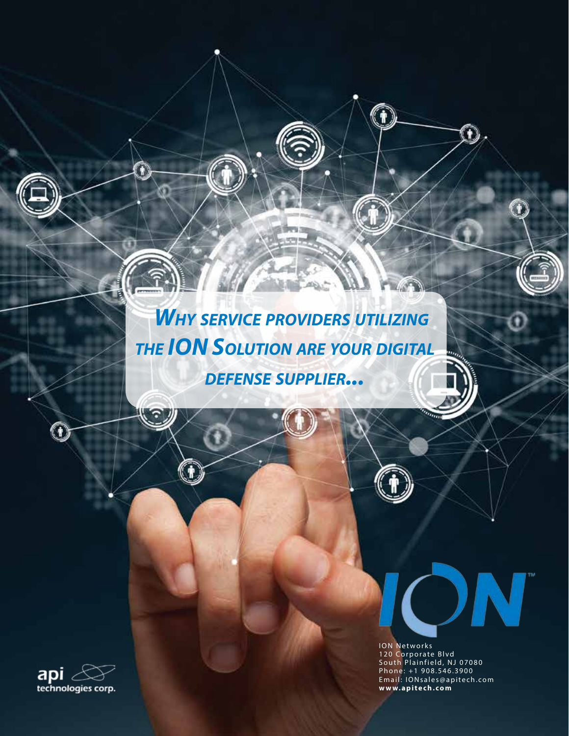# *Why service providers utilizing the ION Solution are your digital defense supplier...*

 $\bigcirc$ 

n



 $\mathbf 0$ 

ION Networks 120 Corporate Blvd South Plainfield, NJ 07080 Phone: +1 908.546.3900 Email: IONsales@apitech.com **www.apitech.com**

N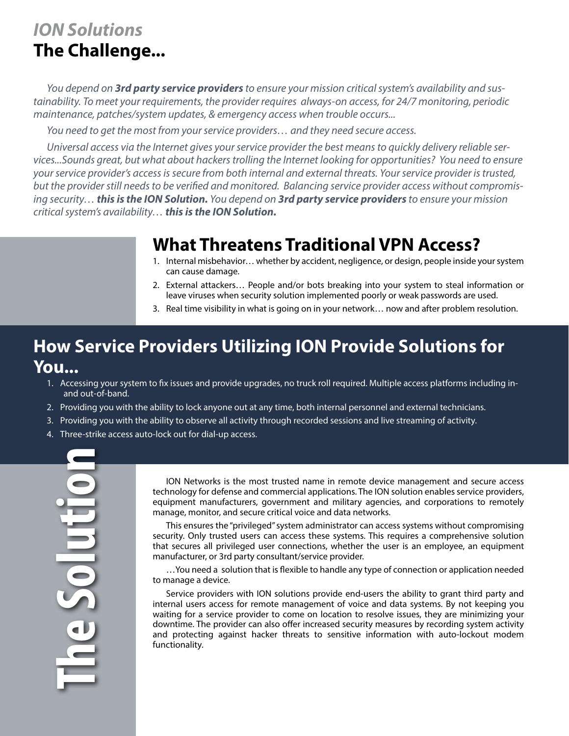# *ION Solutions* **The Challenge...**

*You depend on 3rd party service providers to ensure your mission critical system's availability and sustainability. To meet your requirements, the provider requires always-on access, for 24/7 monitoring, periodic maintenance, patches/system updates, & emergency access when trouble occurs...*

*You need to get the most from your service providers… and they need secure access.* 

*Universal access via the Internet gives your service provider the best means to quickly delivery reliable services...Sounds great, but what about hackers trolling the Internet looking for opportunities? You need to ensure your service provider's access is secure from both internal and external threats. Your service provider is trusted, but the provider still needs to be verified and monitored. Balancing service provider access without compromising security… this is the ION Solution. You depend on 3rd party service providers to ensure your mission critical system's availability… this is the ION Solution.*

# **What Threatens Traditional VPN Access?**

- 1. Internal misbehavior… whether by accident, negligence, or design, people inside your system can cause damage.
- 2. External attackers… People and/or bots breaking into your system to steal information or leave viruses when security solution implemented poorly or weak passwords are used.
- 3. Real time visibility in what is going on in your network… now and after problem resolution.

# **How Service Providers Utilizing ION Provide Solutions for You...**

- 1. Accessing your system to fix issues and provide upgrades, no truck roll required. Multiple access platforms including inand out-of-band.
- 2. Providing you with the ability to lock anyone out at any time, both internal personnel and external technicians.
- 3. Providing you with the ability to observe all activity through recorded sessions and live streaming of activity.
- 4. Three-strike access auto-lock out for dial-up access.

**The SolutionSolutio** 

ION Networks is the most trusted name in remote device management and secure access technology for defense and commercial applications. The ION solution enables service providers, equipment manufacturers, government and military agencies, and corporations to remotely manage, monitor, and secure critical voice and data networks.

This ensures the "privileged" system administrator can access systems without compromising security. Only trusted users can access these systems. This requires a comprehensive solution that secures all privileged user connections, whether the user is an employee, an equipment manufacturer, or 3rd party consultant/service provider.

…You need a solution that is flexible to handle any type of connection or application needed to manage a device.

Service providers with ION solutions provide end-users the ability to grant third party and internal users access for remote management of voice and data systems. By not keeping you waiting for a service provider to come on location to resolve issues, they are minimizing your downtime. The provider can also offer increased security measures by recording system activity and protecting against hacker threats to sensitive information with auto-lockout modem functionality.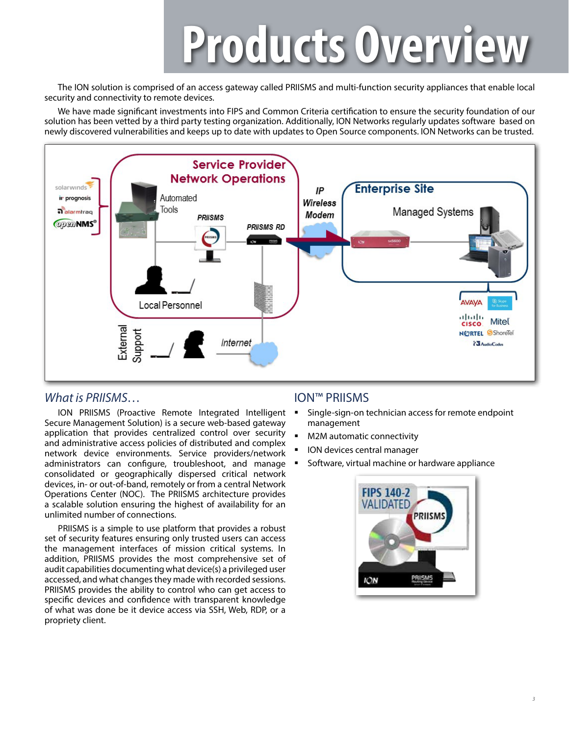# **Products Overview**

The ION solution is comprised of an access gateway called PRIISMS and multi-function security appliances that enable local security and connectivity to remote devices.

We have made significant investments into FIPS and Common Criteria certification to ensure the security foundation of our solution has been vetted by a third party testing organization. Additionally, ION Networks regularly updates software based on newly discovered vulnerabilities and keeps up to date with updates to Open Source components. ION Networks can be trusted.



#### *What is PRIISMS…*

ION PRIISMS (Proactive Remote Integrated Intelligent Secure Management Solution) is a secure web-based gateway application that provides centralized control over security and administrative access policies of distributed and complex network device environments. Service providers/network administrators can configure, troubleshoot, and manage consolidated or geographically dispersed critical network devices, in- or out-of-band, remotely or from a central Network Operations Center (NOC). The PRIISMS architecture provides a scalable solution ensuring the highest of availability for an unlimited number of connections.

PRIISMS is a simple to use platform that provides a robust set of security features ensuring only trusted users can access the management interfaces of mission critical systems. In addition, PRIISMS provides the most comprehensive set of audit capabilities documenting what device(s) a privileged user accessed, and what changes they made with recorded sessions. PRIISMS provides the ability to control who can get access to specific devices and confidence with transparent knowledge of what was done be it device access via SSH, Web, RDP, or a propriety client.

#### ION™ PRIISMS

- Single-sign-on technician access for remote endpoint management
- M2M automatic connectivity
- ION devices central manager
- Software, virtual machine or hardware appliance

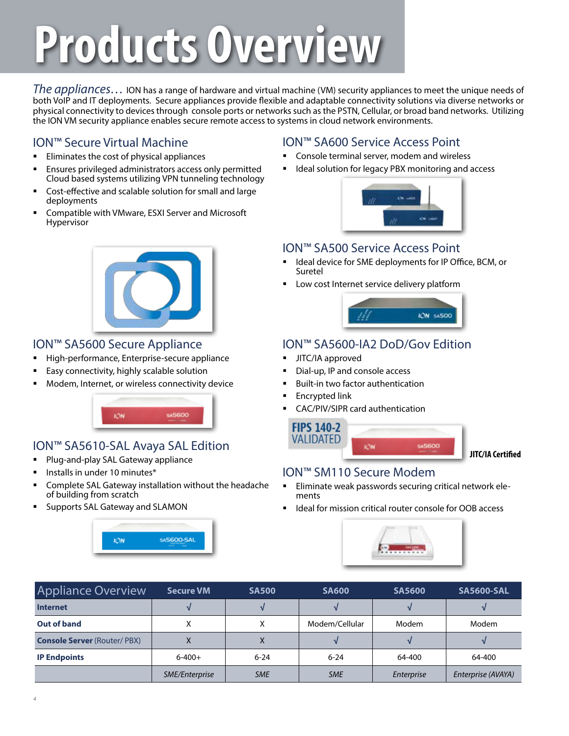# **Products Overview**

*The appliances…* ION has a range of hardware and virtual machine (VM) security appliances to meet the unique needs of both VoIP and IT deployments. Secure appliances provide flexible and adaptable connectivity solutions via diverse networks or physical connectivity to devices through console ports or networks such as the PSTN, Cellular, or broad band networks. Utilizing the ION VM security appliance enables secure remote access to systems in cloud network environments.

## ION™ Secure Virtual Machine

- Eliminates the cost of physical appliances
- Ensures privileged administrators access only permitted Cloud based systems utilizing VPN tunneling technology
- Cost-effective and scalable solution for small and large deployments
- Compatible with VMware, ESXI Server and Microsoft Hypervisor



#### ION™ SA5600 Secure Appliance

- High-performance, Enterprise-secure appliance
- Easy connectivity, highly scalable solution
- Modem, Internet, or wireless connectivity device



## ION™ SA5610-SAL Avaya SAL Edition

- Plug-and-play SAL Gateway appliance
- Installs in under 10 minutes\*
- Complete SAL Gateway installation without the headache of building from scratch
- Supports SAL Gateway and SLAMON



#### ION™ SA600 Service Access Point

- Console terminal server, modem and wireless
- Ideal solution for legacy PBX monitoring and access



#### ION™ SA500 Service Access Point

- Ideal device for SME deployments for IP Office, BCM, or Suretel
- Low cost Internet service delivery platform



## ION™ SA5600-IA2 DoD/Gov Edition

- JITC/IA approved
- Dial-up, IP and console access
- Built-in two factor authentication
- Encrypted link
- CAC/PIV/SIPR card authentication



**JITC/IA Certified**

#### ION™ SM110 Secure Modem

 Eliminate weak passwords securing critical network elements

545600

Ideal for mission critical router console for OOB access



| <b>Appliance Overview</b>          | <b>SA500</b><br><b>Secure VM</b> |            | <b>SA600</b>   | <b>SA5600</b> | <b>SA5600-SAL</b>  |  |  |
|------------------------------------|----------------------------------|------------|----------------|---------------|--------------------|--|--|
| <b>Internet</b>                    |                                  |            |                |               |                    |  |  |
| Out of band                        |                                  | v          | Modem/Cellular | Modem         | Modem              |  |  |
| <b>Console Server (Router/PBX)</b> |                                  | $\Lambda$  |                |               |                    |  |  |
| <b>IP Endpoints</b>                | $6 - 400 +$                      | $6 - 24$   | $6 - 24$       | 64-400        | 64-400             |  |  |
|                                    | SME/Enterprise                   | <b>SME</b> | <b>SME</b>     | Enterprise    | Enterprise (AVAYA) |  |  |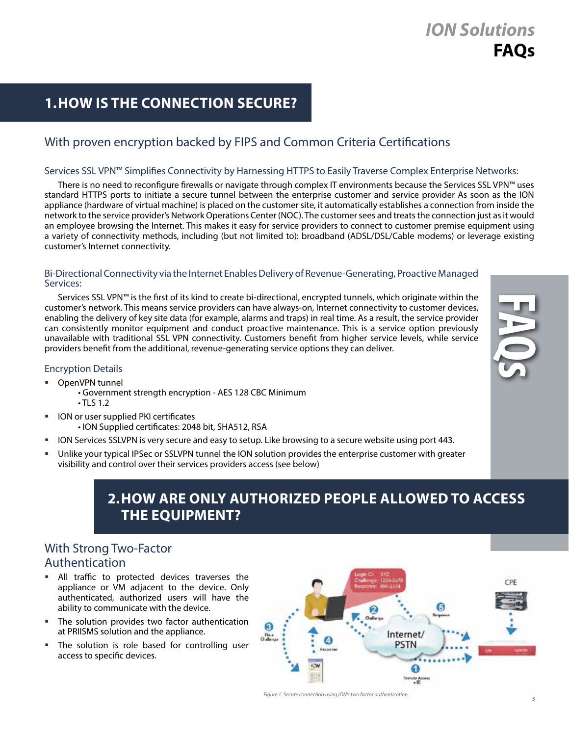# *ION Solutions* **FAQs**

# **1.HOW IS THE CONNECTION SECURE?**

## With proven encryption backed by FIPS and Common Criteria Certifications

#### Services SSL VPN™ Simplifies Connectivity by Harnessing HTTPS to Easily Traverse Complex Enterprise Networks:

There is no need to reconfigure firewalls or navigate through complex IT environments because the Services SSL VPN™ uses standard HTTPS ports to initiate a secure tunnel between the enterprise customer and service provider As soon as the ION appliance (hardware of virtual machine) is placed on the customer site, it automatically establishes a connection from inside the network to the service provider's Network Operations Center (NOC). The customer sees and treats the connection just as it would an employee browsing the Internet. This makes it easy for service providers to connect to customer premise equipment using a variety of connectivity methods, including (but not limited to): broadband (ADSL/DSL/Cable modems) or leverage existing customer's Internet connectivity.

#### Bi-Directional Connectivity via the Internet Enables Delivery of Revenue-Generating, Proactive Managed Services:

Services SSL VPN™ is the first of its kind to create bi-directional, encrypted tunnels, which originate within the customer's network. This means service providers can have always-on, Internet connectivity to customer devices, enabling the delivery of key site data (for example, alarms and traps) in real time. As a result, the service provider can consistently monitor equipment and conduct proactive maintenance. This is a service option previously unavailable with traditional SSL VPN connectivity. Customers benefit from higher service levels, while service providers benefit from the additional, revenue-generating service options they can deliver.



#### Encryption Details

- OpenVPN tunnel
	- Government strength encryption AES 128 CBC Minimum • TLS 1.2
- ION or user supplied PKI certificates
	- ION Supplied certificates: 2048 bit, SHA512, RSA
- ION Services SSLVPN is very secure and easy to setup. Like browsing to a secure website using port 443.
- Unlike your typical IPSec or SSLVPN tunnel the ION solution provides the enterprise customer with greater visibility and control over their services providers access (see below)

# **2. HOW ARE ONLY AUTHORIZED PEOPLE ALLOWED TO ACCESS THE EQUIPMENT?**

## With Strong Two-Factor Authentication

- All traffic to protected devices traverses the appliance or VM adjacent to the device. Only authenticated, authorized users will have the ability to communicate with the device.
- The solution provides two factor authentication at PRIISMS solution and the appliance.
- The solution is role based for controlling user access to specific devices.



*Figure 1. Secure connection using ION's two factor authentication.*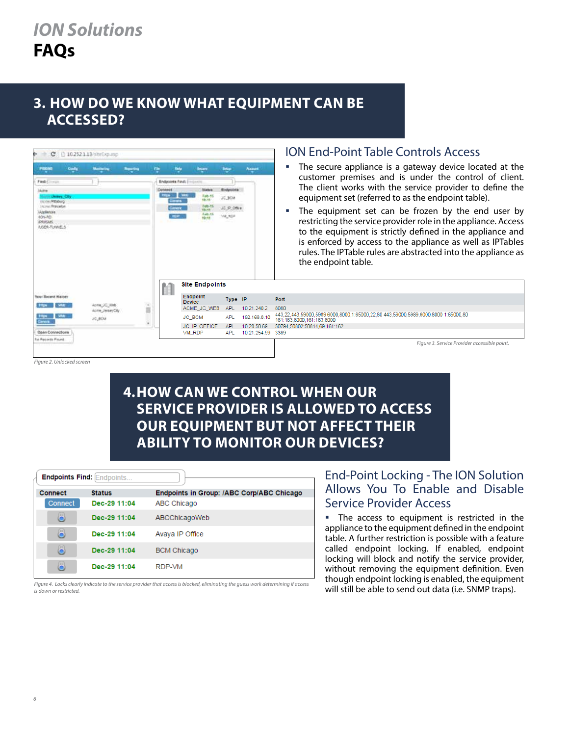## **3. HOW DO WE KNOW WHAT EQUIPMENT CAN BE ACCESSED?**



*Figure 2. Unlocked screen*

# **4. HOW CAN WE CONTROL WHEN OUR SERVICE PROVIDER IS ALLOWED TO ACCESS OUR EQUIPMENT BUT NOT AFFECT THEIR ABILITY TO MONITOR OUR DEVICES?**

| <b>Endpoints Find: Endpoints</b> |               |                                           |  |  |  |  |  |  |
|----------------------------------|---------------|-------------------------------------------|--|--|--|--|--|--|
|                                  |               |                                           |  |  |  |  |  |  |
| Connect                          | <b>Status</b> | Endpoints in Group: /ABC Corp/ABC Chicago |  |  |  |  |  |  |
| Connect                          | Dec-29 11:04  | ABC Chicago                               |  |  |  |  |  |  |
| 8                                | Dec-29 11:04  | ABCChicagoWeb                             |  |  |  |  |  |  |
| 8                                | Dec-29 11:04  | Avaya IP Office                           |  |  |  |  |  |  |
| 8                                | Dec-29 11:04  | <b>BCM Chicago</b>                        |  |  |  |  |  |  |
| 8                                | Dec-29 11:04  | RDP-VM                                    |  |  |  |  |  |  |

*Figure 4. Locks clearly indicate to the service provider that access is blocked, eliminating the guess work determining if access is down or restricted.*

#### End-Point Locking - The ION Solution Allows You To Enable and Disable Service Provider Access

**The access to equipment is restricted in the** appliance to the equipment defined in the endpoint table. A further restriction is possible with a feature called endpoint locking. If enabled, endpoint locking will block and notify the service provider, without removing the equipment definition. Even though endpoint locking is enabled, the equipment will still be able to send out data (i.e. SNMP traps).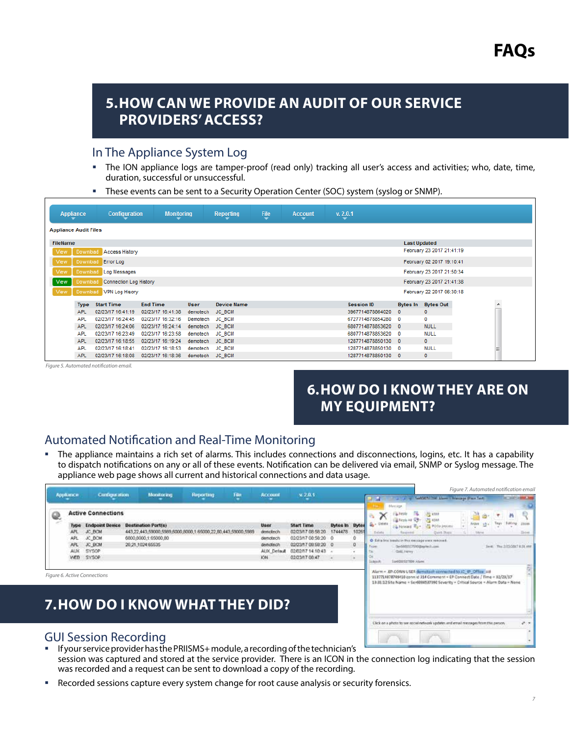## **5. HOW CAN WE PROVIDE AN AUDIT OF OUR SERVICE PROVIDERS' ACCESS?**

#### In The Appliance System Log

- The ION appliance logs are tamper-proof (read only) tracking all user's access and activities; who, date, time, duration, successful or unsuccessful.
- These events can be sent to a Security Operation Center (SOC) system (syslog or SNMP).

| <b>Appliance</b>             | <b>Configuration</b><br><b>Monitoring</b> |                   |          | <b>File</b><br>v. 2.0.1<br><b>Reporting</b><br><b>Account</b><br>$\overline{\phantom{0}}$ |  |  |                  |                     |                           |  |   |  |  |
|------------------------------|-------------------------------------------|-------------------|----------|-------------------------------------------------------------------------------------------|--|--|------------------|---------------------|---------------------------|--|---|--|--|
| <b>Appliance Audit Files</b> |                                           |                   |          |                                                                                           |  |  |                  |                     |                           |  |   |  |  |
| FileName                     |                                           |                   |          |                                                                                           |  |  |                  | <b>Last Updated</b> |                           |  |   |  |  |
| View<br>Download             | <b>Access History</b>                     |                   |          |                                                                                           |  |  |                  |                     | February 23 2017 21:41:19 |  |   |  |  |
| View<br>Download             | <b>Error Log</b>                          |                   |          |                                                                                           |  |  |                  |                     | February 02 2017 19:10:41 |  |   |  |  |
| View<br>Download             | Log Messages                              |                   |          |                                                                                           |  |  |                  |                     | February 23 2017 21:50:34 |  |   |  |  |
| <b>View</b>                  | Connection Log History<br>Download        |                   |          |                                                                                           |  |  |                  |                     | February 23 2017 21:41:38 |  |   |  |  |
| View<br><b>Download</b>      | VPN Log Hisory                            |                   |          |                                                                                           |  |  |                  |                     | February 22 2017 06:30:18 |  |   |  |  |
| <b>Type</b>                  | <b>Start Time</b>                         | <b>End Time</b>   | User     | <b>Device Name</b>                                                                        |  |  | Session ID       | <b>Bytes In</b>     | <b>Bytes Out</b>          |  | × |  |  |
| <b>APL</b>                   | 02/23/17 16:41:19                         | 02/23/17 16:41:38 | demotech | <b>JC BCM</b>                                                                             |  |  | 3967714878864020 | $\mathbf{0}$        | $\mathbf{0}$              |  |   |  |  |
| APL                          | 02/23/17 16:24:45                         | 02/23/17 16:32:16 | Demotech | <b>JC BCM</b>                                                                             |  |  | 6727714878854280 | $\mathbf{0}$        | 0                         |  |   |  |  |
| <b>APL</b>                   | 02/23/17 16:24:06                         | 02/23/17 16:24:14 | demotech | <b>JC BCM</b>                                                                             |  |  | 6807714878853620 | $\mathbf{0}$        | <b>NULL</b>               |  |   |  |  |
| <b>APL</b>                   | 02/23/17 16:23:49                         | 02/23/17 16:23:58 | demotech | <b>JC BCM</b>                                                                             |  |  | 6807714878853620 | 0                   | <b>NULL</b>               |  |   |  |  |
| <b>APL</b>                   | 02/23/17 16:18:55                         | 02/23/17 16:19:24 | demotech | <b>JC BCM</b>                                                                             |  |  | 1287714878850130 | $\mathbf{0}$        | $\mathbf{0}$              |  |   |  |  |
| <b>APL</b>                   | 02/23/17 16:18:41                         | 02/23/17 16:18:53 | demotech | <b>JC BCM</b>                                                                             |  |  | 1287714878850130 | 0                   | <b>NULL</b>               |  |   |  |  |
| <b>APL</b>                   | 02/23/17 16:18:08                         | 02/23/17 16:18:36 | demotech | <b>JC_BCM</b>                                                                             |  |  | 1287714878850130 | $\mathbf{0}$        | $\mathbf{0}$              |  |   |  |  |

*Figure 5. Automated notification email.*

# **6. HOW DO I KNOW THEY ARE ON MY EQUIPMENT?**

Click on a photo to see social network updates and email messages from this p.

### Automated Notification and Real-Time Monitoring

 The appliance maintains a rich set of alarms. This includes connections and disconnections, logins, etc. It has a capability to dispatch notifications on any or all of these events. Notification can be delivered via email, SNMP or Syslog message. The appliance web page shows all current and historical connections and data usage.

| <b>Appliation</b><br><b>Configuration</b> |                                         | <b>Monitoring</b>                                                                                          | <b>Reporting</b>                                                       | Film                                                         | <b>Arrount</b> | w 2.0.1                                                                |                                                                                                                      |                                  | <b>Salar</b> |        | Latin Latin Collection About Charge Dain Test                           | Figure 7. Automated notification email                                                                                                                                                                                       |  |                           |  |
|-------------------------------------------|-----------------------------------------|------------------------------------------------------------------------------------------------------------|------------------------------------------------------------------------|--------------------------------------------------------------|----------------|------------------------------------------------------------------------|----------------------------------------------------------------------------------------------------------------------|----------------------------------|--------------|--------|-------------------------------------------------------------------------|------------------------------------------------------------------------------------------------------------------------------------------------------------------------------------------------------------------------------|--|---------------------------|--|
| Q                                         | APL<br>APL<br><b>ALIX</b><br><b>WFR</b> | <b>Active Connections</b><br><b>Endpoint Device</b><br>JC_BCM<br>JC BCM<br>JC DCM<br><b>SYSOP</b><br>SYSOP | <b>Destination Port(s)</b><br>6000,0000.1:65000.00<br>20.21.1024.65535 | 443,22,443,59000,5989,6000,8000,1:65000,22,80,443,59000,5989 |                | User<br>denciech<br>demotech<br>demotech<br>ALOC Default<br><b>JON</b> | Start Time<br>02/23/17 08:58:20<br>02/23/17 08:58:20 0<br>02/23/17 08:58:20 0<br>02/02/17 14:10:43<br>02/23/17 08:47 | <b>Dyles In Dyles</b><br>1744478 | 10261<br>o   | Databa | <b>Affencious</b><br>A Forward Run<br>Gold, Henry<br>Sentorial top Alam | <b>POD</b> process<br>Dakit Stags<br>O Estra line boashs in this majorizer view removed.<br>Sections 17010 Basic Link                                                                                                        |  | les. The hittebar against |  |
|                                           |                                         | Figure 6. Active Connections                                                                               |                                                                        | 7. HOW DO I KNOW WHAT THEY DID?                              |                |                                                                        |                                                                                                                      |                                  |              |        |                                                                         | Alarm = EP.COMN USER demotesh connected to JC @ Office sid-<br>1137714878749410 conn id 314 Commont + EP Connect Date / Time = 02/23/17<br>13:31:12 Site Name + Sen9080537090 Severity + Critical Source + Alarm Data + None |  |                           |  |

#### GUI Session Recording

- If your service provider has the PRIISMS+ module, a recording of the technician's session was captured and stored at the service provider. There is an ICON in the connection log indicating that the session was recorded and a request can be sent to download a copy of the recording.
- Recorded sessions capture every system change for root cause analysis or security forensics.